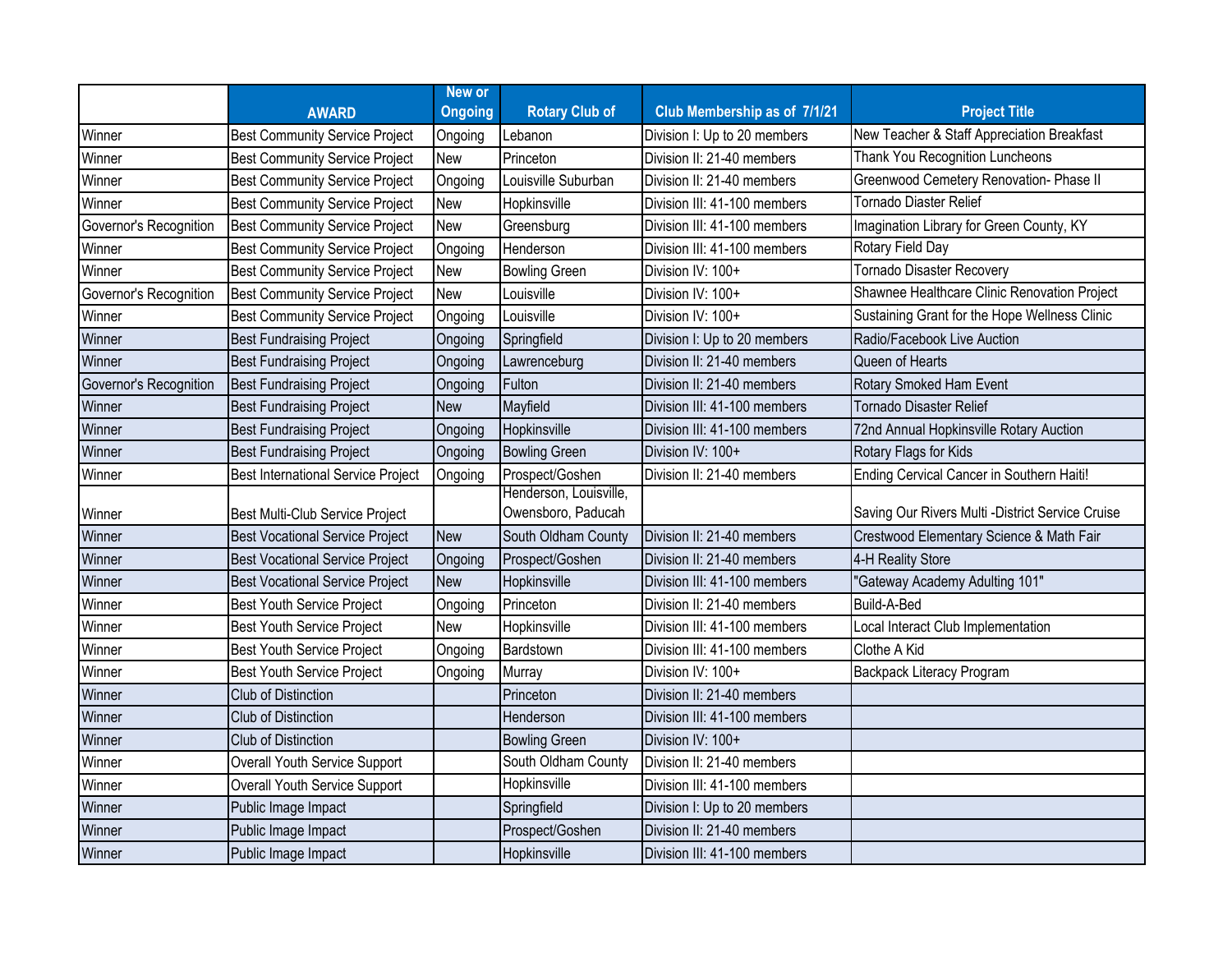|                        |                                        | New or         |                                              |                              |                                                  |
|------------------------|----------------------------------------|----------------|----------------------------------------------|------------------------------|--------------------------------------------------|
|                        | <b>AWARD</b>                           | <b>Ongoing</b> | <b>Rotary Club of</b>                        | Club Membership as of 7/1/21 | <b>Project Title</b>                             |
| Winner                 | <b>Best Community Service Project</b>  | Ongoing        | Lebanon                                      | Division I: Up to 20 members | New Teacher & Staff Appreciation Breakfast       |
| Winner                 | <b>Best Community Service Project</b>  | New            | Princeton                                    | Division II: 21-40 members   | Thank You Recognition Luncheons                  |
| Winner                 | <b>Best Community Service Project</b>  | Ongoing        | Louisville Suburban                          | Division II: 21-40 members   | Greenwood Cemetery Renovation- Phase II          |
| Winner                 | <b>Best Community Service Project</b>  | New            | Hopkinsville                                 | Division III: 41-100 members | <b>Tornado Diaster Relief</b>                    |
| Governor's Recognition | <b>Best Community Service Project</b>  | New            | Greensburg                                   | Division III: 41-100 members | Imagination Library for Green County, KY         |
| Winner                 | <b>Best Community Service Project</b>  | Ongoing        | Henderson                                    | Division III: 41-100 members | Rotary Field Day                                 |
| Winner                 | <b>Best Community Service Project</b>  | New            | <b>Bowling Green</b>                         | Division IV: 100+            | <b>Tornado Disaster Recovery</b>                 |
| Governor's Recognition | <b>Best Community Service Project</b>  | <b>New</b>     | Louisville                                   | Division IV: 100+            | Shawnee Healthcare Clinic Renovation Project     |
| Winner                 | <b>Best Community Service Project</b>  | Ongoing        | Louisville                                   | Division IV: 100+            | Sustaining Grant for the Hope Wellness Clinic    |
| Winner                 | <b>Best Fundraising Project</b>        | Ongoing        | Springfield                                  | Division I: Up to 20 members | Radio/Facebook Live Auction                      |
| Winner                 | <b>Best Fundraising Project</b>        | Ongoing        | Lawrenceburg                                 | Division II: 21-40 members   | Queen of Hearts                                  |
| Governor's Recognition | <b>Best Fundraising Project</b>        | Ongoing        | Fulton                                       | Division II: 21-40 members   | Rotary Smoked Ham Event                          |
| Winner                 | <b>Best Fundraising Project</b>        | <b>New</b>     | Mayfield                                     | Division III: 41-100 members | <b>Tornado Disaster Relief</b>                   |
| Winner                 | <b>Best Fundraising Project</b>        | Ongoing        | Hopkinsville                                 | Division III: 41-100 members | 72nd Annual Hopkinsville Rotary Auction          |
| Winner                 | <b>Best Fundraising Project</b>        | Ongoing        | <b>Bowling Green</b>                         | Division IV: 100+            | Rotary Flags for Kids                            |
| Winner                 | Best International Service Project     | Ongoing        | Prospect/Goshen                              | Division II: 21-40 members   | Ending Cervical Cancer in Southern Haiti!        |
| Winner                 | Best Multi-Club Service Project        |                | Henderson, Louisville,<br>Owensboro, Paducah |                              | Saving Our Rivers Multi -District Service Cruise |
| Winner                 | <b>Best Vocational Service Project</b> | <b>New</b>     | South Oldham County                          | Division II: 21-40 members   | Crestwood Elementary Science & Math Fair         |
| Winner                 | <b>Best Vocational Service Project</b> | Ongoing        | Prospect/Goshen                              | Division II: 21-40 members   | 4-H Reality Store                                |
| Winner                 | <b>Best Vocational Service Project</b> | <b>New</b>     | Hopkinsville                                 | Division III: 41-100 members | "Gateway Academy Adulting 101"                   |
| Winner                 | <b>Best Youth Service Project</b>      | Ongoing        | Princeton                                    | Division II: 21-40 members   | Build-A-Bed                                      |
| Winner                 | <b>Best Youth Service Project</b>      | New            | Hopkinsville                                 | Division III: 41-100 members | Local Interact Club Implementation               |
| Winner                 | <b>Best Youth Service Project</b>      | Ongoing        | Bardstown                                    | Division III: 41-100 members | Clothe A Kid                                     |
| Winner                 | <b>Best Youth Service Project</b>      | Ongoing        | Murray                                       | Division IV: 100+            | Backpack Literacy Program                        |
| Winner                 | Club of Distinction                    |                | Princeton                                    | Division II: 21-40 members   |                                                  |
| Winner                 | Club of Distinction                    |                | Henderson                                    | Division III: 41-100 members |                                                  |
| Winner                 | Club of Distinction                    |                | <b>Bowling Green</b>                         | Division IV: 100+            |                                                  |
| Winner                 | Overall Youth Service Support          |                | South Oldham County                          | Division II: 21-40 members   |                                                  |
| Winner                 | Overall Youth Service Support          |                | Hopkinsville                                 | Division III: 41-100 members |                                                  |
| Winner                 | Public Image Impact                    |                | Springfield                                  | Division I: Up to 20 members |                                                  |
| Winner                 | Public Image Impact                    |                | Prospect/Goshen                              | Division II: 21-40 members   |                                                  |
| Winner                 | Public Image Impact                    |                | Hopkinsville                                 | Division III: 41-100 members |                                                  |